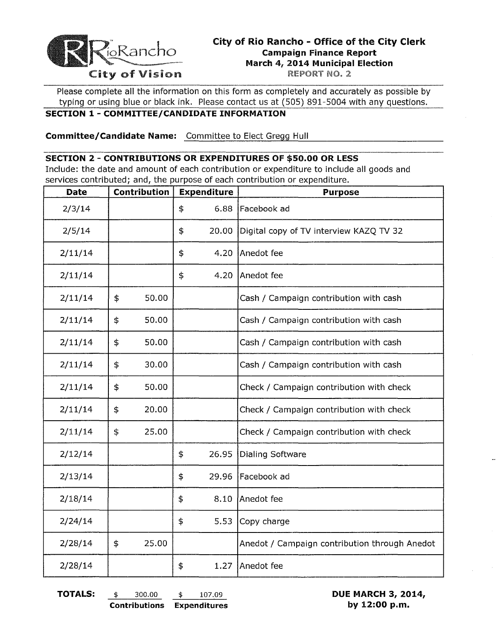

## **City of Rio Rancho - Office of the City Clerk Campaign Finance Report March 4, 2014 Municipal Election** City of Vision REPORT NO. 2

Please complete all the information on this form as completely and accurately as possible by typing or using blue or black ink. Please contact us at (505) 891-5004 with any questions.

## **SECTION 1 - COMMITTEE/CANDIDATE INFORMATION**

**Committee/Candidate Name:** Committee to Elect Gregg Hull

## **SECTION 2 - CONTRIBUTIONS OR EXPENDITURES OF \$50.00 OR LESS**

Include: the date and amount of each contribution or expenditure to include all goods and services contributed; and, the purpose of each contribution or expenditure.

| <b>Date</b> | Contribution | <b>Expenditure</b> | <b>Purpose</b>                                |  |
|-------------|--------------|--------------------|-----------------------------------------------|--|
| 2/3/14      |              | \$<br>6.88         | Facebook ad                                   |  |
| 2/5/14      |              | \$<br>20.00        | Digital copy of TV interview KAZQ TV 32       |  |
| 2/11/14     |              | \$<br>4.20         | Anedot fee                                    |  |
| 2/11/14     |              | \$<br>4.20         | Anedot fee                                    |  |
| 2/11/14     | \$<br>50.00  |                    | Cash / Campaign contribution with cash        |  |
| 2/11/14     | \$<br>50.00  |                    | Cash / Campaign contribution with cash        |  |
| 2/11/14     | \$<br>50.00  |                    | Cash / Campaign contribution with cash        |  |
| 2/11/14     | \$<br>30.00  |                    | Cash / Campaign contribution with cash        |  |
| 2/11/14     | \$<br>50.00  |                    | Check / Campaign contribution with check      |  |
| 2/11/14     | \$<br>20.00  |                    | Check / Campaign contribution with check      |  |
| 2/11/14     | \$<br>25.00  |                    | Check / Campaign contribution with check      |  |
| 2/12/14     |              | \$<br>26.95        | Dialing Software                              |  |
| 2/13/14     |              | \$<br>29.96        | Facebook ad                                   |  |
| 2/18/14     |              | \$<br>8.10         | Anedot fee                                    |  |
| 2/24/14     |              | \$<br>5.53         | Copy charge                                   |  |
| 2/28/14     | \$<br>25.00  |                    | Anedot / Campaign contribution through Anedot |  |
| 2/28/14     |              | \$<br>1.27         | Anedot fee                                    |  |

**TOTALS:** \$ 300.00 \$ 107.09 **DUE MARCH 3, 2014, Contributions Expenditures by 12:00 p.m.**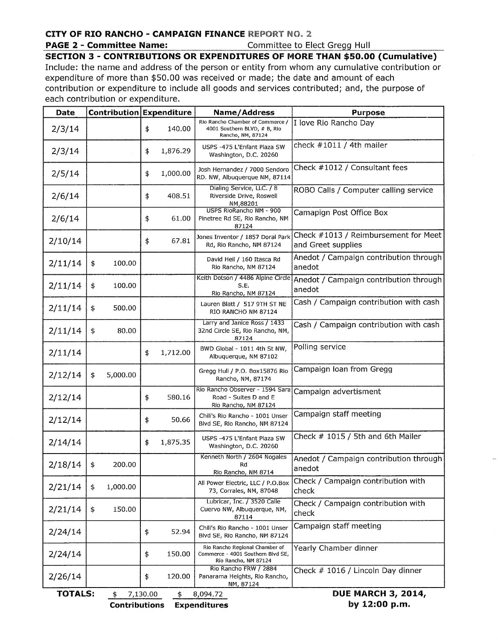## **CITY OF RIO RANCHO - CAMPAIGN FINANCE** REPORT NO. 2,

#### ~~GE\_~: **Committee Name:** ...\_,\_\_\_\_,~..\_\_\_. Committ~~!9..Elect..Gregg Hull , \_.\_\_\_\_\_

**SECTION 3 - CONTRIBUTIONS OR EXPENDITURES OF MORE THAN \$50.00 (Cumulative)** 

Include: the name and address of the person or entity from whom any cumulative contribution or expenditure of more than \$50.00 was received or made; the date and amount of each contribution or expenditure to include all goods and services contributed; and, the purpose of each contribution or expenditure.

| Date                                                                            |                | Contribution Expenditure | Name/Address                                                                                | <b>Purpose</b>                                             |  |  |  |
|---------------------------------------------------------------------------------|----------------|--------------------------|---------------------------------------------------------------------------------------------|------------------------------------------------------------|--|--|--|
| 2/3/14                                                                          |                | \$<br>140.00             | Rio Rancho Chamber of Commerce /<br>4001 Southern BLVD, # B, Rio<br>Rancho, NM, 87124       | I love Rio Rancho Day                                      |  |  |  |
| 2/3/14                                                                          |                | 1,876.29<br>\$           | USPS -475 L'Enfant Plaza SW<br>Washington, D.C. 20260                                       | check $#1011 / 4$ th mailer                                |  |  |  |
| 2/5/14                                                                          |                | 1,000.00<br>\$           | Josh Hernandez / 7000 Sendoro<br>RD. NW, Albuquerque NM, 87114                              | Check #1012 / Consultant fees                              |  |  |  |
| 2/6/14                                                                          |                | 408.51<br>\$             | Dialing Service, LLC. / 8<br>Riverside Drive, Roswell<br>NM,88201                           | ROBO Calls / Computer calling service                      |  |  |  |
| 2/6/14                                                                          |                | \$<br>61.00              | USPS RioRancho NM - 900<br>Pinetree Rd SE, Rio Rancho, NM<br>87124                          | Camapign Post Office Box                                   |  |  |  |
| 2/10/14                                                                         |                | 67.81<br>\$              | Jones Inventor / 1857 Doral Park<br>Rd, Rio Rancho, NM 87124                                | Check #1013 / Reimbursement for Meet<br>and Greet supplies |  |  |  |
| 2/11/14                                                                         | \$<br>100.00   |                          | David Heil / 160 Itasca Rd<br>Rio Rancho, NM 87124                                          | Anedot / Campaign contribution through<br>anedot           |  |  |  |
| 2/11/14                                                                         | \$<br>100.00   |                          | Keith Dotson / 4486 Alpine Circle<br>S.E.<br>Rio Rancho, NM 87124                           | Anedot / Campaign contribution through<br>anedot           |  |  |  |
| 2/11/14                                                                         | \$<br>500.00   |                          | Lauren Blatt / 517 9TH ST NE<br>RIO RANCHO NM 87124                                         | Cash / Campaign contribution with cash                     |  |  |  |
| 2/11/14                                                                         | \$<br>80.00    |                          | Larry and Janice Ross / 1433<br>32nd Circle SE, Rio Rancho, NM,<br>87124                    | Cash / Campaign contribution with cash                     |  |  |  |
| 2/11/14                                                                         |                | 1,712.00<br>\$           | BWD Global - 1011 4th St NW,<br>Albuquerque, NM 87102                                       | Polling service                                            |  |  |  |
| 2/12/14                                                                         | 5,000.00<br>\$ |                          | Gregg Hull / P.O. Box15876 Rio<br>Rancho, NM, 87174                                         | Campaign loan from Gregg                                   |  |  |  |
| 2/12/14                                                                         |                | \$<br>580.16             | Rio Rancho Observer - 1594 Sara<br>Road - Suites D and E<br>Rio Rancho, NM 87124            | Campaign advertisment                                      |  |  |  |
| 2/12/14                                                                         |                | 50.66<br>\$              | Chili's Rio Rancho - 1001 Unser<br>Blvd SE, Rio Rancho, NM 87124                            | Campaign staff meeting                                     |  |  |  |
| 2/14/14                                                                         |                | \$<br>1,875.35           | USPS -475 L'Enfant Plaza SW<br>Washington, D.C. 20260                                       | Check # 1015 / 5th and 6th Mailer                          |  |  |  |
| 2/18/14                                                                         | 200.00<br>\$   |                          | Kenneth North / 2604 Nogales<br>Rd<br>Rio Rancho, NM 8714                                   | Anedot / Campaign contribution through<br>anedot           |  |  |  |
| 2/21/14                                                                         | 1,000.00<br>\$ |                          | All Power Electric, LLC / P.O.Box<br>73, Corrales, NM, 87048                                | Check / Campaign contribution with<br>check                |  |  |  |
| 2/21/14                                                                         | 150.00<br>\$   |                          | Lubricar, Inc. / 3520 Calle<br>Cuervo NW, Albuquerque, NM,<br>87114                         | Check / Campaign contribution with<br>check                |  |  |  |
| 2/24/14                                                                         |                | \$<br>52.94              | Chili's Rio Rancho - 1001 Unser<br>Blvd SE, Rio Rancho, NM 87124                            | Campaign staff meeting                                     |  |  |  |
| 2/24/14                                                                         |                | \$<br>150.00             | Rio Rancho Regional Chamber of<br>Commerce - 4001 Southern Blvd SE,<br>Rio Rancho, NM 87124 | Yearly Chamber dinner                                      |  |  |  |
| 2/26/14                                                                         |                | \$<br>120.00             | Rio Rancho FRW / 2884<br>Panarama Heights, Rio Rancho,<br>NM, 87124                         | Check # 1016 / Lincoln Day dinner                          |  |  |  |
| <b>DUE MARCH 3, 2014,</b><br><b>TOTALS:</b><br>\$<br>7,130.00<br>\$<br>8,094.72 |                |                          |                                                                                             |                                                            |  |  |  |

**Contributions Expenditures by 12:00 p.m.**